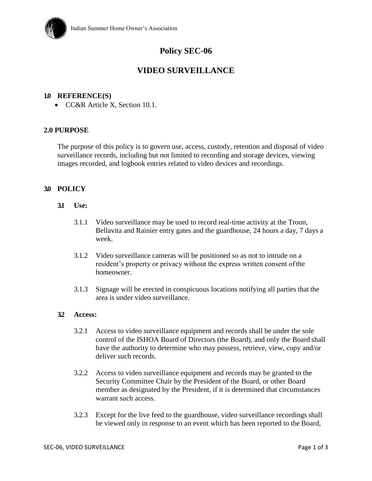

# **Policy SEC-06**

## **VIDEO SURVEILLANCE**

#### **1.0 REFERENCE(S)**

• CC&R Article X, Section 10.1.

#### **2.0 PURPOSE**

The purpose of this policy is to govern use, access, custody, retention and disposal of video surveillance records, including but not limited to recording and storage devices, viewing images recorded, and logbook entries related to video devices and recordings.

#### **3.0 POLICY**

- **3.1 Use:**
	- 3.1.1 Video surveillance may be used to record real-time activity at the Troon, Bellavita and Rainier entry gates and the guardhouse, 24 hours a day, 7 days a week.
	- 3.1.2 Video surveillance cameras will be positioned so as not to intrude on a resident's property or privacy without the express written consent ofthe homeowner.
	- 3.1.3 Signage will be erected in conspicuous locations notifying all parties that the area is under video surveillance.

#### **3.2 Access:**

- 3.2.1 Access to video surveillance equipment and records shall be under the sole control of the ISHOA Board of Directors (the Board), and only the Board shall have the authority to determine who may possess, retrieve, view, copy and/or deliver such records.
- 3.2.2 Access to video surveillance equipment and records may be granted to the Security Committee Chair by the President of the Board, or other Board member as designated by the President, if it is determined that circumstances warrant such access.
- 3.2.3 Except for the live feed to the guardhouse, video surveillance recordings shall be viewed only in response to an event which has been reported to the Board,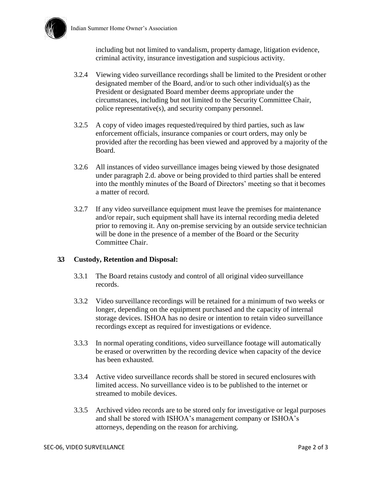

including but not limited to vandalism, property damage, litigation evidence, criminal activity, insurance investigation and suspicious activity.

- 3.2.4 Viewing video surveillance recordings shall be limited to the President or other designated member of the Board, and/or to such other individual(s) as the President or designated Board member deems appropriate under the circumstances, including but not limited to the Security Committee Chair, police representative(s), and security company personnel.
- 3.2.5 A copy of video images requested/required by third parties, such as law enforcement officials, insurance companies or court orders, may only be provided after the recording has been viewed and approved by a majority of the Board.
- 3.2.6 All instances of video surveillance images being viewed by those designated under paragraph 2.d. above or being provided to third parties shall be entered into the monthly minutes of the Board of Directors' meeting so that it becomes a matter of record.
- 3.2.7 If any video surveillance equipment must leave the premises for maintenance and/or repair, such equipment shall have its internal recording media deleted prior to removing it. Any on-premise servicing by an outside service technician will be done in the presence of a member of the Board or the Security Committee Chair.

## **3.3 Custody, Retention and Disposal:**

- 3.3.1 The Board retains custody and control of all original video surveillance records.
- 3.3.2 Video surveillance recordings will be retained for a minimum of two weeks or longer, depending on the equipment purchased and the capacity of internal storage devices. ISHOA has no desire or intention to retain video surveillance recordings except as required for investigations or evidence.
- 3.3.3 In normal operating conditions, video surveillance footage will automatically be erased or overwritten by the recording device when capacity of the device has been exhausted.
- 3.3.4 Active video surveillance records shall be stored in secured enclosures with limited access. No surveillance video is to be published to the internet or streamed to mobile devices.
- 3.3.5 Archived video records are to be stored only for investigative or legal purposes and shall be stored with ISHOA's management company or ISHOA's attorneys, depending on the reason for archiving.